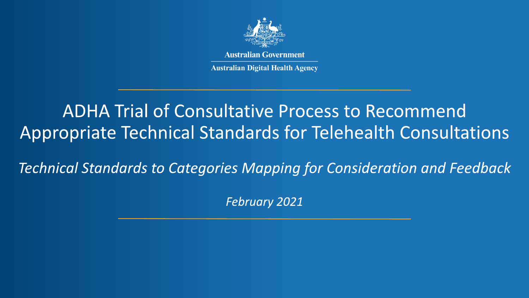

**Australian Government** 

**Australian Digital Health Agency** 

# **ADHA Trial of Consultative Process to Recommend** Appropriate Technical Standards for Telehealth Consultations

**Technical Standards to Categories Mapping for Consideration and Feedback** 

**February 2021**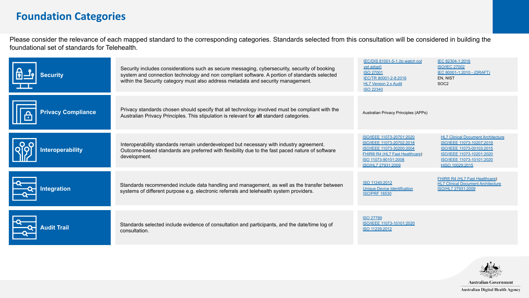### **Foundation Categories**

Please consider the relevance of each mapped standard to the corresponding categories. Standards selected from this consultation will be considered in building the foundational set of standards for Telehealth.

| <b>Security</b>           | Security includes considerations such as secure messaging, cybersecurity, security of booking<br>system and connection technology and non compliant software. A portion of standards selected<br>within the Security category must also address metadata and security management. | IEC/DIS 81001-5-1 (to watch not<br>yet adopt)<br><b>ISO 27001</b><br>IEC/TR 80001-2-8:2016<br><b>HL7 Version 2.x Audit</b><br><b>ISO 22340</b>                      | IEC 82304-1:2016<br><b>ISO/IEC 27002</b><br>IEC 80001-1:2010 - (DRAFT)<br>EN. NIST<br>SOC <sub>2</sub>                                                                           |
|---------------------------|-----------------------------------------------------------------------------------------------------------------------------------------------------------------------------------------------------------------------------------------------------------------------------------|---------------------------------------------------------------------------------------------------------------------------------------------------------------------|----------------------------------------------------------------------------------------------------------------------------------------------------------------------------------|
| <b>Privacy Compliance</b> | Privacy standards chosen should specify that all technology involved must be compliant with the<br>Australian Privacy Principles. This stipulation is relevant for all standard categories.                                                                                       | Australian Privacy Principles (APPs)                                                                                                                                |                                                                                                                                                                                  |
| <b>Interoperability</b>   | Interoperability standards remain underdeveloped but necessary with industry agreement.<br>Outcome-based standards are preferred with flexibility due to the fast paced nature of software<br>development.                                                                        | ISO/IEEE 11073-20701:2020<br>ISO/IEEE 11073-20702:2018<br>ISO/IEEE 11073-30200:2004<br>FHIR® R4 (HL7 Fast Healthcare)<br>ISO 11073-90101:2008<br>ISO/HL7 27931:2009 | <b>HL7 Clinical Document Architecture</b><br>ISO/IEEE 11073-10207:2019<br>ISO/IEEE 11073-00103:2015<br>ISO/IEEE 11073-10201:2020<br>ISO/IEEE 11073-10101:2020<br>HISO 10029:2015 |
| ntegration                | Standards recommended include data handling and management, as well as the transfer between<br>systems of different purpose e.g. electronic referrals and telehealth system providers.                                                                                            | ISO 11240:2012<br><b>Unique Device Identification</b><br><b>ISO/PRF 18530</b>                                                                                       | FHIR® R4 (HL7 Fast Healthcare)<br><b>HL7 Clinical Document Architecture</b><br>ISO/HL7 27931:2009                                                                                |
| <b>Audit Trail</b>        | Standards selected include evidence of consultation and participants, and the date/time log of<br>consultation.                                                                                                                                                                   | <b>ISO 27789</b><br>ISO/IEEE 11073-10101:2020<br>ISO 11239:2012                                                                                                     |                                                                                                                                                                                  |



Australian Digital Health Agency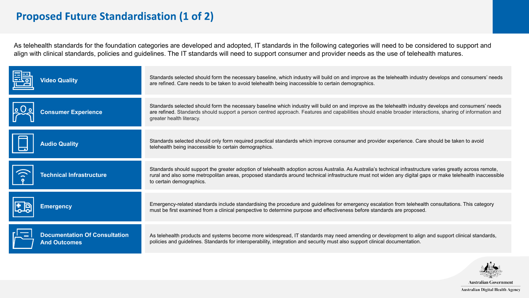## **Proposed Future Standardisation (1 of 2)**

As telehealth standards for the foundation categories are developed and adopted, IT standards in the following categories will need to be considered to support and align with clinical standards, policies and guidelines. The IT standards will need to support consumer and provider needs as the use of telehealth matures.

| <b>Video Quality</b>            | Standards selected should form the necessary baseline, which industry will build on and improve as the telehealth industry develops and consumers' needs<br>are refined. Care needs to be taken to avoid telehealth being inaccessible to certain demographics.                                                                                        |
|---------------------------------|--------------------------------------------------------------------------------------------------------------------------------------------------------------------------------------------------------------------------------------------------------------------------------------------------------------------------------------------------------|
| <b>Consumer Experience</b>      | Standards selected should form the necessary baseline which industry will build on and improve as the telehealth industry develops and consumers' needs<br>are refined. Standards should support a person centred approach. Features and capabilities should enable broader interactions, sharing of information and<br>greater health literacy.       |
| <b>Audio Quality</b>            | Standards selected should only form required practical standards which improve consumer and provider experience. Care should be taken to avoid<br>telehealth being inaccessible to certain demographics.                                                                                                                                               |
|                                 |                                                                                                                                                                                                                                                                                                                                                        |
| <b>Technical Infrastructure</b> | Standards should support the greater adoption of telehealth adoption across Australia. As Australia's technical infrastructure varies greatly across remote,<br>rural and also some metropolitan areas, proposed standards around technical infrastructure must not widen any digital gaps or make telehealth inaccessible<br>to certain demographics. |
| <b>Emergency</b>                | Emergency-related standards include standardising the procedure and guidelines for emergency escalation from telehealth consultations. This category<br>must be first examined from a clinical perspective to determine purpose and effectiveness before standards are proposed.                                                                       |



**Australian Government** Australian Digital Health Agency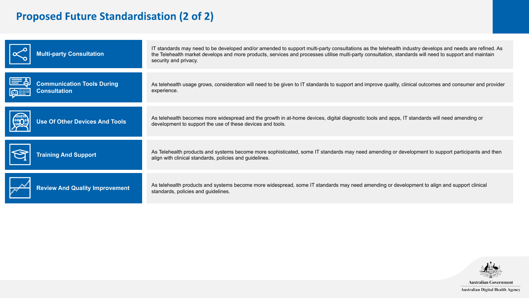# **Proposed Future Standardisation (2 of 2)**

| <b>Multi-party Consultation</b>                                             | IT standards may need to be developed and/or amended to support multi-party consultations as the telehealth industry develops and needs are refined. As<br>the Telehealth market develops and more products, services and processes utilise multi-party consultation, standards will need to support and maintain<br>security and privacy. |
|-----------------------------------------------------------------------------|--------------------------------------------------------------------------------------------------------------------------------------------------------------------------------------------------------------------------------------------------------------------------------------------------------------------------------------------|
| <b>Communication Tools During</b><br><b>Consultation</b><br><u>  ضالتنا</u> | As telehealth usage grows, consideration will need to be given to IT standards to support and improve quality, clinical outcomes and consumer and provider<br>experience.                                                                                                                                                                  |
| <b>Use Of Other Devices And Tools</b>                                       | As telehealth becomes more widespread and the growth in at-home devices, digital diagnostic tools and apps, IT standards will need amending or<br>development to support the use of these devices and tools.                                                                                                                               |
| <b>Training And Support</b>                                                 | As Telehealth products and systems become more sophisticated, some IT standards may need amending or development to support participants and then<br>align with clinical standards, policies and guidelines.                                                                                                                               |
| <b>Review And Quality Improvement</b>                                       | As telehealth products and systems become more widespread, some IT standards may need amending or development to align and support clinical<br>standards, policies and quidelines.                                                                                                                                                         |



Australian Digital Health Agency